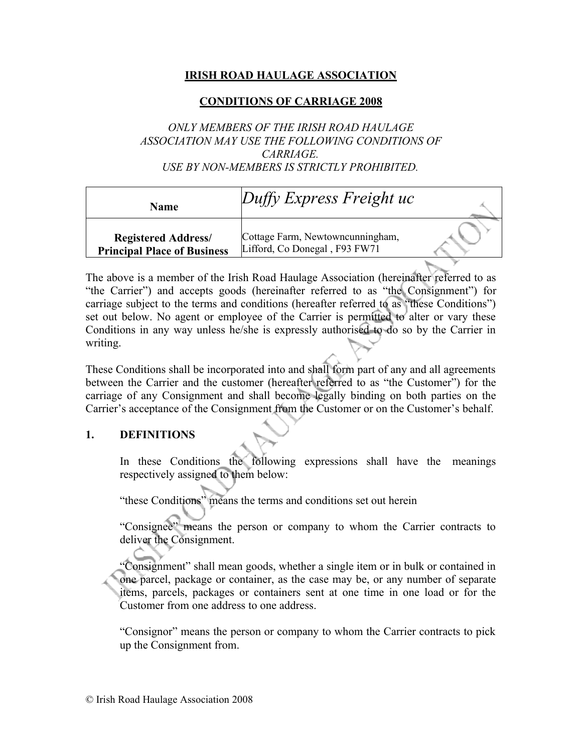## **IRISH ROAD HAULAGE ASSOCIATION**

## **CONDITIONS OF CARRIAGE 2008**

## *ONLY MEMBERS OF THE IRISH ROAD HAULAGE ASSOCIATION MAY USE THE FOLLOWING CONDITIONS OF CARRIAGE. USE BY NON-MEMBERS IS STRICTLY PROHIBITED.*

| Name                                                             | $Duffy$ Express Freight uc                                        |  |
|------------------------------------------------------------------|-------------------------------------------------------------------|--|
| <b>Registered Address/</b><br><b>Principal Place of Business</b> | Cottage Farm, Newtowncunningham,<br>Lifford, Co Donegal, F93 FW71 |  |

The above is a member of the Irish Road Haulage Association (hereinafter referred to as "the Carrier") and accepts goods (hereinafter referred to as "the Consignment") for carriage subject to the terms and conditions (hereafter referred to as "these Conditions") set out below. No agent or employee of the Carrier is permitted to alter or vary these Conditions in any way unless he/she is expressly authorised to do so by the Carrier in writing.

These Conditions shall be incorporated into and shall form part of any and all agreements between the Carrier and the customer (hereafter referred to as "the Customer") for the carriage of any Consignment and shall become legally binding on both parties on the Carrier's acceptance of the Consignment from the Customer or on the Customer's behalf.

## **1. DEFINITIONS**

In these Conditions the following expressions shall have the meanings respectively assigned to them below:

"these Conditions" means the terms and conditions set out herein

"Consignee" means the person or company to whom the Carrier contracts to deliver the Consignment.

"Consignment" shall mean goods, whether a single item or in bulk or contained in one parcel, package or container, as the case may be, or any number of separate items, parcels, packages or containers sent at one time in one load or for the Customer from one address to one address.

"Consignor" means the person or company to whom the Carrier contracts to pick up the Consignment from.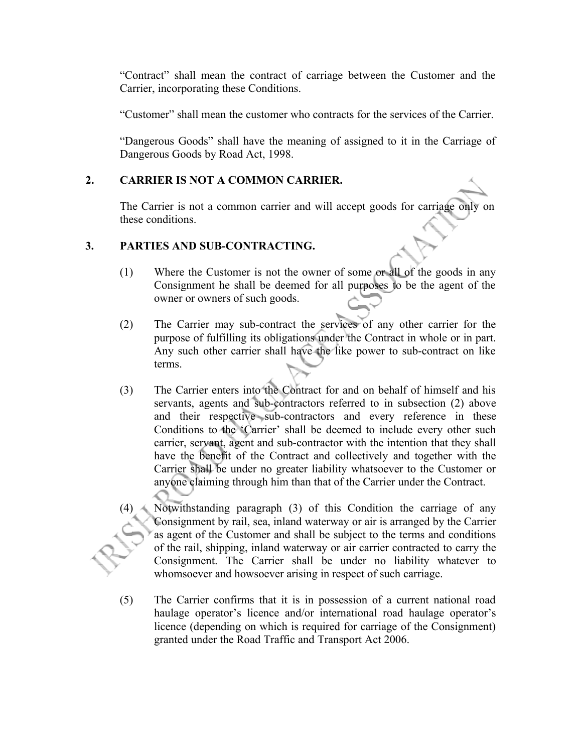"Contract" shall mean the contract of carriage between the Customer and the Carrier, incorporating these Conditions.

"Customer" shall mean the customer who contracts for the services of the Carrier.

"Dangerous Goods" shall have the meaning of assigned to it in the Carriage of Dangerous Goods by Road Act, 1998.

## **2. CARRIER IS NOT A COMMON CARRIER.**

The Carrier is not a common carrier and will accept goods for carriage only on these conditions.

## **3. PARTIES AND SUB-CONTRACTING.**

- (1) Where the Customer is not the owner of some or all of the goods in any Consignment he shall be deemed for all purposes to be the agent of the owner or owners of such goods.
- (2) The Carrier may sub-contract the services of any other carrier for the purpose of fulfilling its obligations under the Contract in whole or in part. Any such other carrier shall have the like power to sub-contract on like terms.
- (3) The Carrier enters into the Contract for and on behalf of himself and his servants, agents and sub-contractors referred to in subsection (2) above and their respective sub-contractors and every reference in these Conditions to the 'Carrier' shall be deemed to include every other such carrier, servant, agent and sub-contractor with the intention that they shall have the benefit of the Contract and collectively and together with the Carrier shall be under no greater liability whatsoever to the Customer or anyone claiming through him than that of the Carrier under the Contract.
- Notwithstanding paragraph (3) of this Condition the carriage of any Consignment by rail, sea, inland waterway or air is arranged by the Carrier as agent of the Customer and shall be subject to the terms and conditions of the rail, shipping, inland waterway or air carrier contracted to carry the Consignment. The Carrier shall be under no liability whatever to whomsoever and howsoever arising in respect of such carriage.
- (5) The Carrier confirms that it is in possession of a current national road haulage operator's licence and/or international road haulage operator's licence (depending on which is required for carriage of the Consignment) granted under the Road Traffic and Transport Act 2006.

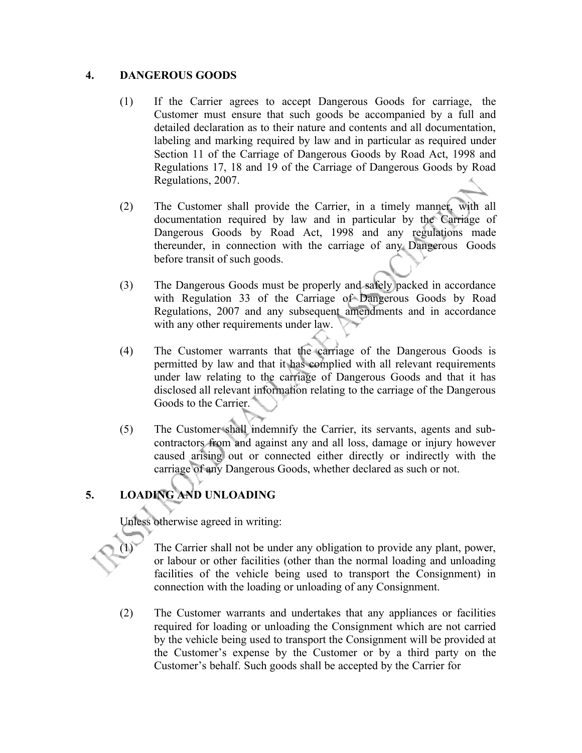### **4. DANGEROUS GOODS**

- (1) If the Carrier agrees to accept Dangerous Goods for carriage, the Customer must ensure that such goods be accompanied by a full and detailed declaration as to their nature and contents and all documentation, labeling and marking required by law and in particular as required under Section 11 of the Carriage of Dangerous Goods by Road Act, 1998 and Regulations 17, 18 and 19 of the Carriage of Dangerous Goods by Road Regulations, 2007.
- (2) The Customer shall provide the Carrier, in a timely manner, with all documentation required by law and in particular by the Carriage of Dangerous Goods by Road Act, 1998 and any regulations made thereunder, in connection with the carriage of any Dangerous Goods before transit of such goods.
- (3) The Dangerous Goods must be properly and safely packed in accordance with Regulation 33 of the Carriage of Dangerous Goods by Road Regulations, 2007 and any subsequent amendments and in accordance with any other requirements under law.
- (4) The Customer warrants that the carriage of the Dangerous Goods is permitted by law and that it has complied with all relevant requirements under law relating to the carriage of Dangerous Goods and that it has disclosed all relevant information relating to the carriage of the Dangerous Goods to the Carrier.
- (5) The Customer shall indemnify the Carrier, its servants, agents and subcontractors from and against any and all loss, damage or injury however caused arising out or connected either directly or indirectly with the carriage of any Dangerous Goods, whether declared as such or not.

## **5. LOADING AND UNLOADING**

Unless otherwise agreed in writing:

- The Carrier shall not be under any obligation to provide any plant, power, or labour or other facilities (other than the normal loading and unloading facilities of the vehicle being used to transport the Consignment) in connection with the loading or unloading of any Consignment.
- (2) The Customer warrants and undertakes that any appliances or facilities required for loading or unloading the Consignment which are not carried by the vehicle being used to transport the Consignment will be provided at the Customer's expense by the Customer or by a third party on the Customer's behalf. Such goods shall be accepted by the Carrier for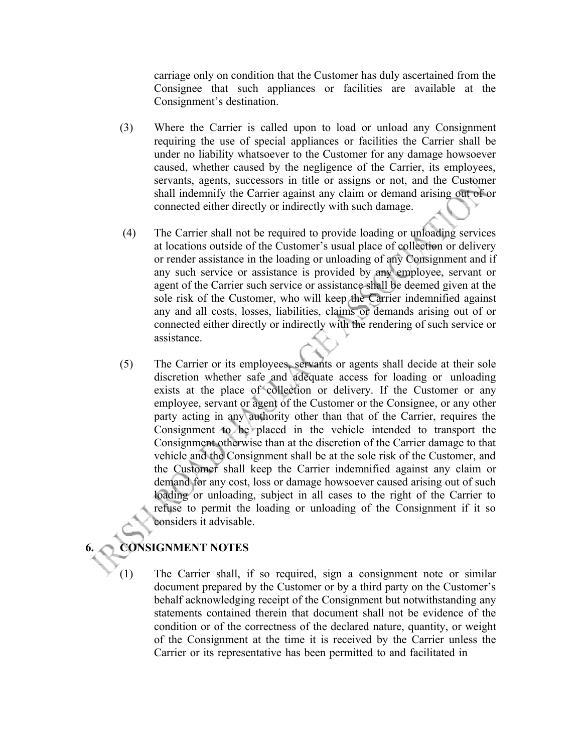carriage only on condition that the Customer has duly ascertained from the Consignee that such appliances or facilities are available at the Consignment's destination.

- (3) Where the Carrier is called upon to load or unload any Consignment requiring the use of special appliances or facilities the Carrier shall be under no liability whatsoever to the Customer for any damage howsoever caused, whether caused by the negligence of the Carrier, its employees, servants, agents, successors in title or assigns or not, and the Customer shall indemnify the Carrier against any claim or demand arising out of or connected either directly or indirectly with such damage.
- (4) The Carrier shall not be required to provide loading or unloading services at locations outside of the Customer's usual place of collection or delivery or render assistance in the loading or unloading of any Consignment and if any such service or assistance is provided by any employee, servant or agent of the Carrier such service or assistance shall be deemed given at the sole risk of the Customer, who will keep the Carrier indemnified against any and all costs, losses, liabilities, claims or demands arising out of or connected either directly or indirectly with the rendering of such service or assistance.
- (5) The Carrier or its employees, servants or agents shall decide at their sole discretion whether safe and adequate access for loading or unloading exists at the place of collection or delivery. If the Customer or any employee, servant or agent of the Customer or the Consignee, or any other party acting in any authority other than that of the Carrier, requires the Consignment to be placed in the vehicle intended to transport the Consignment otherwise than at the discretion of the Carrier damage to that vehicle and the Consignment shall be at the sole risk of the Customer, and the Customer shall keep the Carrier indemnified against any claim or demand for any cost, loss or damage howsoever caused arising out of such loading or unloading, subject in all cases to the right of the Carrier to refuse to permit the loading or unloading of the Consignment if it so considers it advisable.

## **6. CONSIGNMENT NOTES**

(1) The Carrier shall, if so required, sign a consignment note or similar document prepared by the Customer or by a third party on the Customer's behalf acknowledging receipt of the Consignment but notwithstanding any statements contained therein that document shall not be evidence of the condition or of the correctness of the declared nature, quantity, or weight of the Consignment at the time it is received by the Carrier unless the Carrier or its representative has been permitted to and facilitated in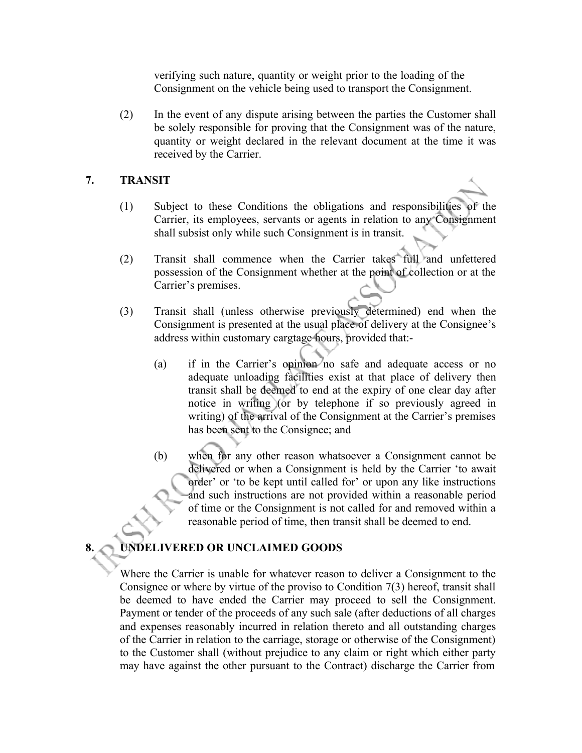verifying such nature, quantity or weight prior to the loading of the Consignment on the vehicle being used to transport the Consignment.

(2) In the event of any dispute arising between the parties the Customer shall be solely responsible for proving that the Consignment was of the nature, quantity or weight declared in the relevant document at the time it was received by the Carrier.

### **7. TRANSIT**

- (1) Subject to these Conditions the obligations and responsibilities of the Carrier, its employees, servants or agents in relation to any Consignment shall subsist only while such Consignment is in transit.
- (2) Transit shall commence when the Carrier takes full and unfettered possession of the Consignment whether at the point of collection or at the Carrier's premises.
- (3) Transit shall (unless otherwise previously determined) end when the Consignment is presented at the usual place of delivery at the Consignee's address within customary cargtage hours, provided that:-
	- (a) if in the Carrier's opinion no safe and adequate access or no adequate unloading facilities exist at that place of delivery then transit shall be deemed to end at the expiry of one clear day after notice in writing (or by telephone if so previously agreed in writing) of the arrival of the Consignment at the Carrier's premises has been sent to the Consignee; and
	- (b) when for any other reason whatsoever a Consignment cannot be delivered or when a Consignment is held by the Carrier 'to await order' or 'to be kept until called for' or upon any like instructions and such instructions are not provided within a reasonable period of time or the Consignment is not called for and removed within a reasonable period of time, then transit shall be deemed to end.

# **8. UNDELIVERED OR UNCLAIMED GOODS**

Where the Carrier is unable for whatever reason to deliver a Consignment to the Consignee or where by virtue of the proviso to Condition 7(3) hereof, transit shall be deemed to have ended the Carrier may proceed to sell the Consignment. Payment or tender of the proceeds of any such sale (after deductions of all charges and expenses reasonably incurred in relation thereto and all outstanding charges of the Carrier in relation to the carriage, storage or otherwise of the Consignment) to the Customer shall (without prejudice to any claim or right which either party may have against the other pursuant to the Contract) discharge the Carrier from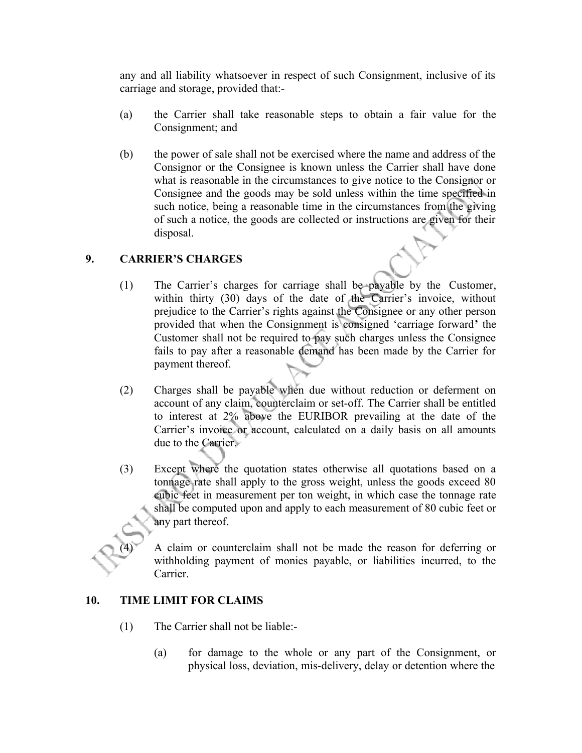any and all liability whatsoever in respect of such Consignment, inclusive of its carriage and storage, provided that:-

- (a) the Carrier shall take reasonable steps to obtain a fair value for the Consignment; and
- (b) the power of sale shall not be exercised where the name and address of the Consignor or the Consignee is known unless the Carrier shall have done what is reasonable in the circumstances to give notice to the Consignor or Consignee and the goods may be sold unless within the time specified in such notice, being a reasonable time in the circumstances from the giving of such a notice, the goods are collected or instructions are given for their disposal.

## **9. CARRIER'S CHARGES**

- (1) The Carrier's charges for carriage shall be payable by the Customer, within thirty (30) days of the date of the Carrier's invoice, without prejudice to the Carrier's rights against the Consignee or any other person provided that when the Consignment is consigned 'carriage forward**'** the Customer shall not be required to pay such charges unless the Consignee fails to pay after a reasonable demand has been made by the Carrier for payment thereof.
- (2) Charges shall be payable when due without reduction or deferment on account of any claim, counterclaim or set-off. The Carrier shall be entitled to interest at 2% above the EURIBOR prevailing at the date of the Carrier's invoice or account, calculated on a daily basis on all amounts due to the Carrier.
- (3) Except where the quotation states otherwise all quotations based on a tonnage rate shall apply to the gross weight, unless the goods exceed 80 cubic feet in measurement per ton weight, in which case the tonnage rate shall be computed upon and apply to each measurement of 80 cubic feet or any part thereof.

A claim or counterclaim shall not be made the reason for deferring or withholding payment of monies payable, or liabilities incurred, to the Carrier.

## **10. TIME LIMIT FOR CLAIMS**

- (1) The Carrier shall not be liable:-
	- (a) for damage to the whole or any part of the Consignment, or physical loss, deviation, mis-delivery, delay or detention where the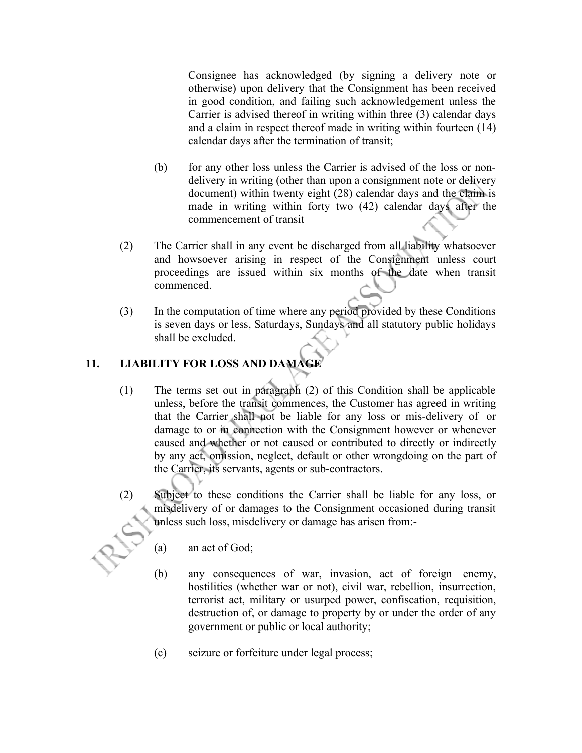Consignee has acknowledged (by signing a delivery note or otherwise) upon delivery that the Consignment has been received in good condition, and failing such acknowledgement unless the Carrier is advised thereof in writing within three (3) calendar days and a claim in respect thereof made in writing within fourteen (14) calendar days after the termination of transit;

- (b) for any other loss unless the Carrier is advised of the loss or nondelivery in writing (other than upon a consignment note or delivery document) within twenty eight (28) calendar days and the claim is made in writing within forty two (42) calendar days after the commencement of transit
- (2) The Carrier shall in any event be discharged from all liability whatsoever and howsoever arising in respect of the Consignment unless court proceedings are issued within six months of the date when transit commenced.
- (3) In the computation of time where any period provided by these Conditions is seven days or less, Saturdays, Sundays and all statutory public holidays shall be excluded.

## **11. LIABILITY FOR LOSS AND DAMAGE**

- (1) The terms set out in paragraph (2) of this Condition shall be applicable unless, before the transit commences, the Customer has agreed in writing that the Carrier shall not be liable for any loss or mis-delivery of or damage to or in connection with the Consignment however or whenever caused and whether or not caused or contributed to directly or indirectly by any act, omission, neglect, default or other wrongdoing on the part of the Carrier, its servants, agents or sub-contractors.
- (2) Subject to these conditions the Carrier shall be liable for any loss, or misdelivery of or damages to the Consignment occasioned during transit unless such loss, misdelivery or damage has arisen from:-
	- (a) an act of God;
	- (b) any consequences of war, invasion, act of foreign enemy, hostilities (whether war or not), civil war, rebellion, insurrection, terrorist act, military or usurped power, confiscation, requisition, destruction of, or damage to property by or under the order of any government or public or local authority;
	- (c) seizure or forfeiture under legal process;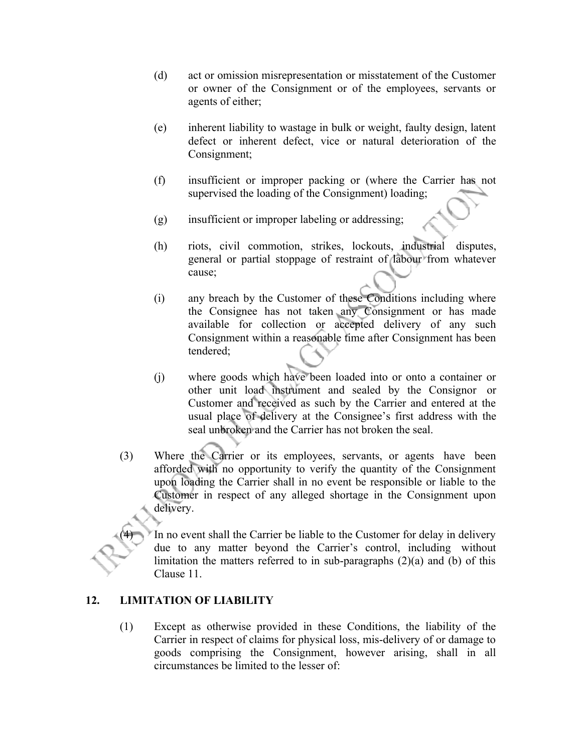- (d) act or omission misrepresentation or misstatement of the Customer or owner of the Consignment or of the employees, servants or agents of either;
- (e) inherent liability to wastage in bulk or weight, faulty design, latent defect or inherent defect, vice or natural deterioration of the Consignment;
- (f) insufficient or improper packing or (where the Carrier has not supervised the loading of the Consignment) loading;
- (g) insufficient or improper labeling or addressing;
- (h) riots, civil commotion, strikes, lockouts, industrial disputes, general or partial stoppage of restraint of labour from whatever cause;
- (i) any breach by the Customer of these Conditions including where the Consignee has not taken any Consignment or has made available for collection or accepted delivery of any such Consignment within a reasonable time after Consignment has been tendered;
- (j) where goods which have been loaded into or onto a container or other unit load instrument and sealed by the Consignor or Customer and received as such by the Carrier and entered at the usual place of delivery at the Consignee's first address with the seal unbroken and the Carrier has not broken the seal.
- (3) Where the Carrier or its employees, servants, or agents have been afforded with no opportunity to verify the quantity of the Consignment upon loading the Carrier shall in no event be responsible or liable to the Customer in respect of any alleged shortage in the Consignment upon delivery.

In no event shall the Carrier be liable to the Customer for delay in delivery due to any matter beyond the Carrier's control, including without limitation the matters referred to in sub-paragraphs  $(2)(a)$  and  $(b)$  of this Clause 11.

#### **12. LIMITATION OF LIABILITY**

(1) Except as otherwise provided in these Conditions, the liability of the Carrier in respect of claims for physical loss, mis-delivery of or damage to goods comprising the Consignment, however arising, shall in all circumstances be limited to the lesser of: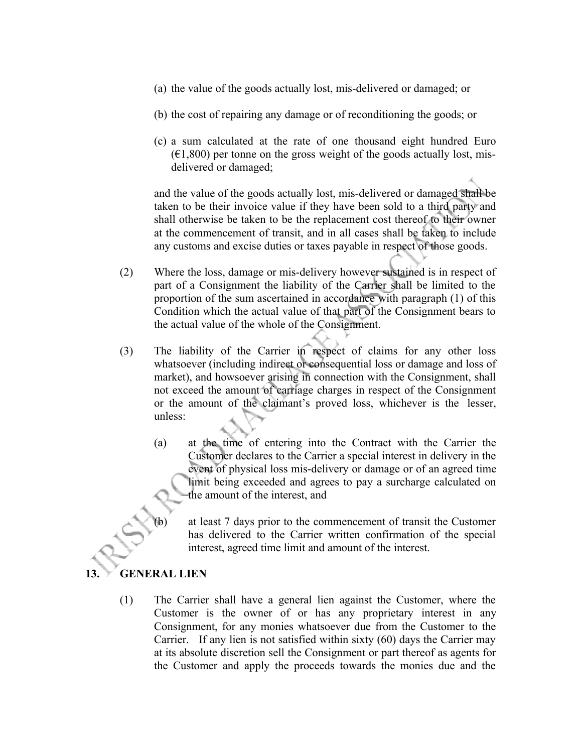- (a) the value of the goods actually lost, mis-delivered or damaged; or
- (b) the cost of repairing any damage or of reconditioning the goods; or
- (c) a sum calculated at the rate of one thousand eight hundred Euro  $(61,800)$  per tonne on the gross weight of the goods actually lost, misdelivered or damaged;

and the value of the goods actually lost, mis-delivered or damaged shall be taken to be their invoice value if they have been sold to a third party and shall otherwise be taken to be the replacement cost thereof to their owner at the commencement of transit, and in all cases shall be taken to include any customs and excise duties or taxes payable in respect of those goods.

- (2) Where the loss, damage or mis-delivery however sustained is in respect of part of a Consignment the liability of the Carrier shall be limited to the proportion of the sum ascertained in accordance with paragraph (1) of this Condition which the actual value of that part of the Consignment bears to the actual value of the whole of the Consignment.
- (3) The liability of the Carrier in respect of claims for any other loss whatsoever (including indirect or consequential loss or damage and loss of market), and howsoever arising in connection with the Consignment, shall not exceed the amount of carriage charges in respect of the Consignment or the amount of the claimant's proved loss, whichever is the lesser, unless:
	- (a) at the time of entering into the Contract with the Carrier the Customer declares to the Carrier a special interest in delivery in the event of physical loss mis-delivery or damage or of an agreed time limit being exceeded and agrees to pay a surcharge calculated on the amount of the interest, and
		- at least 7 days prior to the commencement of transit the Customer has delivered to the Carrier written confirmation of the special interest, agreed time limit and amount of the interest.

#### **13. GENERAL LIEN**

(1) The Carrier shall have a general lien against the Customer, where the Customer is the owner of or has any proprietary interest in any Consignment, for any monies whatsoever due from the Customer to the Carrier. If any lien is not satisfied within sixty (60) days the Carrier may at its absolute discretion sell the Consignment or part thereof as agents for the Customer and apply the proceeds towards the monies due and the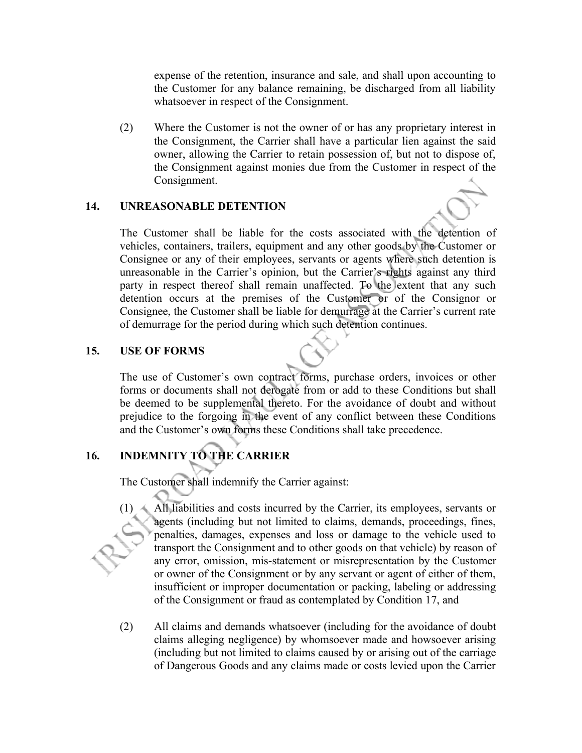expense of the retention, insurance and sale, and shall upon accounting to the Customer for any balance remaining, be discharged from all liability whatsoever in respect of the Consignment.

(2) Where the Customer is not the owner of or has any proprietary interest in the Consignment, the Carrier shall have a particular lien against the said owner, allowing the Carrier to retain possession of, but not to dispose of, the Consignment against monies due from the Customer in respect of the Consignment.

#### **14. UNREASONABLE DETENTION**

The Customer shall be liable for the costs associated with the detention of vehicles, containers, trailers, equipment and any other goods by the Customer or Consignee or any of their employees, servants or agents where such detention is unreasonable in the Carrier's opinion, but the Carrier's rights against any third party in respect thereof shall remain unaffected. To the extent that any such detention occurs at the premises of the Customer or of the Consignor or Consignee, the Customer shall be liable for demurrage at the Carrier's current rate of demurrage for the period during which such detention continues.

### **15. USE OF FORMS**

The use of Customer's own contract forms, purchase orders, invoices or other forms or documents shall not derogate from or add to these Conditions but shall be deemed to be supplemental thereto. For the avoidance of doubt and without prejudice to the forgoing in the event of any conflict between these Conditions and the Customer's own forms these Conditions shall take precedence.

## **16. INDEMNITY TO THE CARRIER**

The Customer shall indemnify the Carrier against:

- (1) All liabilities and costs incurred by the Carrier, its employees, servants or agents (including but not limited to claims, demands, proceedings, fines, penalties, damages, expenses and loss or damage to the vehicle used to transport the Consignment and to other goods on that vehicle) by reason of any error, omission, mis-statement or misrepresentation by the Customer or owner of the Consignment or by any servant or agent of either of them, insufficient or improper documentation or packing, labeling or addressing of the Consignment or fraud as contemplated by Condition 17, and
- (2) All claims and demands whatsoever (including for the avoidance of doubt claims alleging negligence) by whomsoever made and howsoever arising (including but not limited to claims caused by or arising out of the carriage of Dangerous Goods and any claims made or costs levied upon the Carrier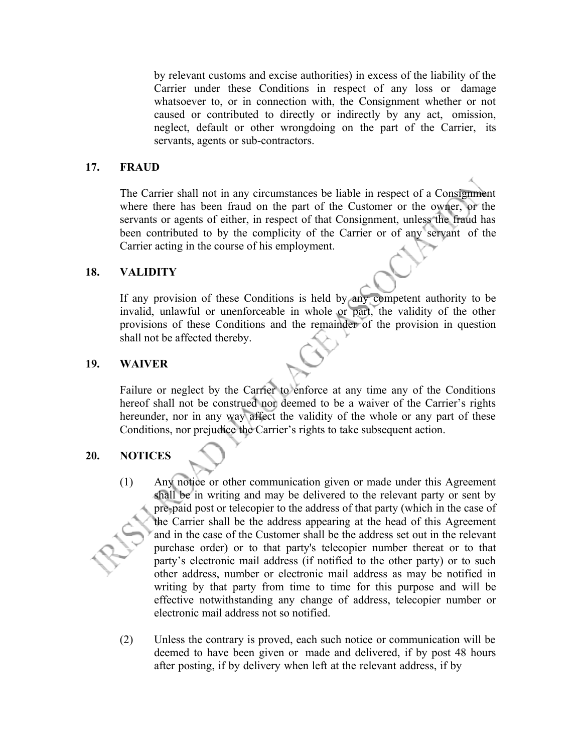by relevant customs and excise authorities) in excess of the liability of the Carrier under these Conditions in respect of any loss or damage whatsoever to, or in connection with, the Consignment whether or not caused or contributed to directly or indirectly by any act, omission, neglect, default or other wrongdoing on the part of the Carrier, its servants, agents or sub-contractors.

#### **17. FRAUD**

The Carrier shall not in any circumstances be liable in respect of a Consignment where there has been fraud on the part of the Customer or the owner, or the servants or agents of either, in respect of that Consignment, unless the fraud has been contributed to by the complicity of the Carrier or of any servant of the Carrier acting in the course of his employment.

#### **18. VALIDITY**

If any provision of these Conditions is held by any competent authority to be invalid, unlawful or unenforceable in whole or part, the validity of the other provisions of these Conditions and the remainder of the provision in question shall not be affected thereby.

#### **19. WAIVER**

Failure or neglect by the Carrier to enforce at any time any of the Conditions hereof shall not be construed nor deemed to be a waiver of the Carrier's rights hereunder, nor in any way affect the validity of the whole or any part of these Conditions, nor prejudice the Carrier's rights to take subsequent action.

### **20. NOTICES**

- (1) Any notice or other communication given or made under this Agreement shall be in writing and may be delivered to the relevant party or sent by pre-paid post or telecopier to the address of that party (which in the case of the Carrier shall be the address appearing at the head of this Agreement and in the case of the Customer shall be the address set out in the relevant purchase order) or to that party's telecopier number thereat or to that party's electronic mail address (if notified to the other party) or to such other address, number or electronic mail address as may be notified in writing by that party from time to time for this purpose and will be effective notwithstanding any change of address, telecopier number or electronic mail address not so notified.
- (2) Unless the contrary is proved, each such notice or communication will be deemed to have been given or made and delivered, if by post 48 hours after posting, if by delivery when left at the relevant address, if by